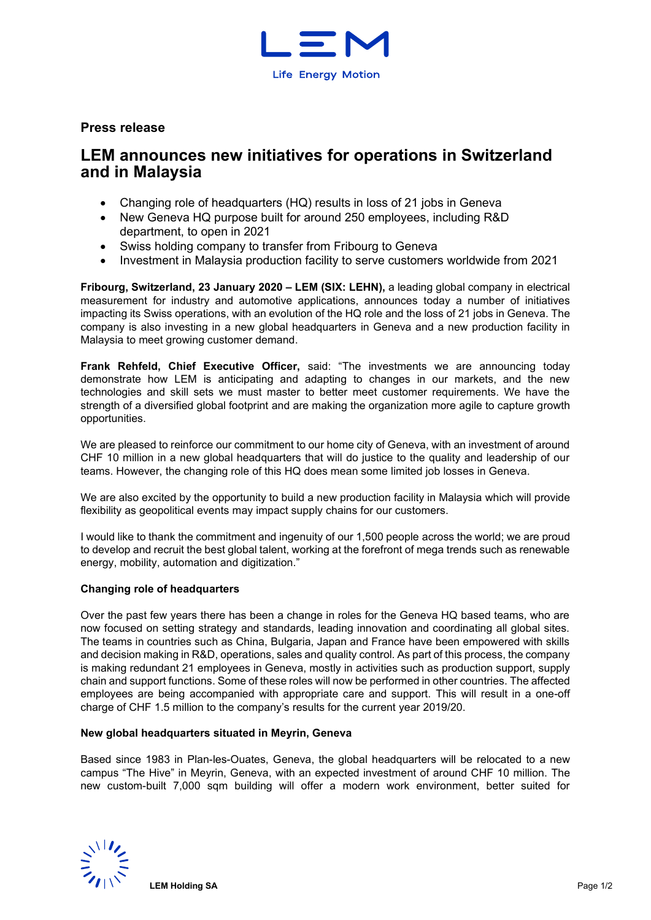

# **Press release**

# **LEM announces new initiatives for operations in Switzerland and in Malaysia**

- Changing role of headquarters (HQ) results in loss of 21 jobs in Geneva
- New Geneva HQ purpose built for around 250 employees, including R&D department, to open in 2021
- Swiss holding company to transfer from Fribourg to Geneva
- Investment in Malaysia production facility to serve customers worldwide from 2021

**Fribourg, Switzerland, 23 January 2020 – LEM (SIX: LEHN),** a leading global company in electrical measurement for industry and automotive applications, announces today a number of initiatives impacting its Swiss operations, with an evolution of the HQ role and the loss of 21 jobs in Geneva. The company is also investing in a new global headquarters in Geneva and a new production facility in Malaysia to meet growing customer demand.

**Frank Rehfeld, Chief Executive Officer,** said: "The investments we are announcing today demonstrate how LEM is anticipating and adapting to changes in our markets, and the new technologies and skill sets we must master to better meet customer requirements. We have the strength of a diversified global footprint and are making the organization more agile to capture growth opportunities.

We are pleased to reinforce our commitment to our home city of Geneva, with an investment of around CHF 10 million in a new global headquarters that will do justice to the quality and leadership of our teams. However, the changing role of this HQ does mean some limited job losses in Geneva.

We are also excited by the opportunity to build a new production facility in Malaysia which will provide flexibility as geopolitical events may impact supply chains for our customers.

I would like to thank the commitment and ingenuity of our 1,500 people across the world; we are proud to develop and recruit the best global talent, working at the forefront of mega trends such as renewable energy, mobility, automation and digitization."

## **Changing role of headquarters**

Over the past few years there has been a change in roles for the Geneva HQ based teams, who are now focused on setting strategy and standards, leading innovation and coordinating all global sites. The teams in countries such as China, Bulgaria, Japan and France have been empowered with skills and decision making in R&D, operations, sales and quality control. As part of this process, the company is making redundant 21 employees in Geneva, mostly in activities such as production support, supply chain and support functions. Some of these roles will now be performed in other countries. The affected employees are being accompanied with appropriate care and support. This will result in a one-off charge of CHF 1.5 million to the company's results for the current year 2019/20.

#### **New global headquarters situated in Meyrin, Geneva**

Based since 1983 in Plan-les-Ouates, Geneva, the global headquarters will be relocated to a new campus "The Hive" in Meyrin, Geneva, with an expected investment of around CHF 10 million. The new custom-built 7,000 sqm building will offer a modern work environment, better suited for